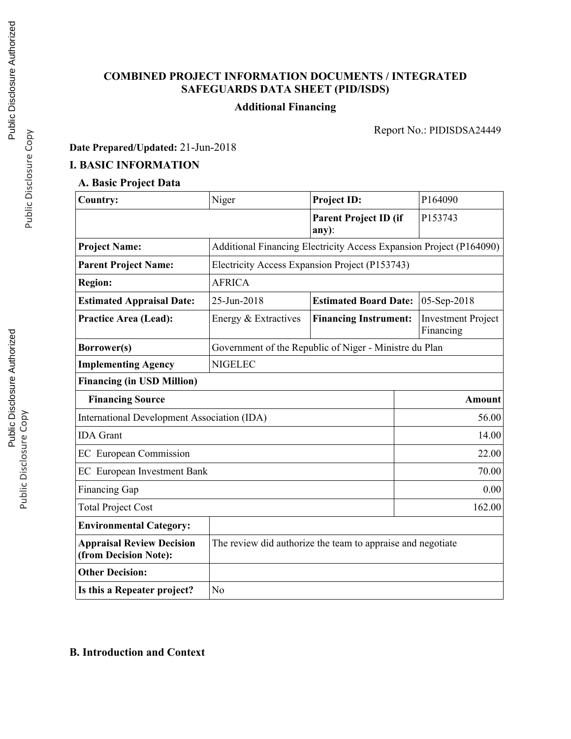# **COMBINED PROJECT INFORMATION DOCUMENTS / INTEGRATED SAFEGUARDS DATA SHEET (PID/ISDS)**

# **Additional Financing**

Report No.: PIDISDSA24449

# **Date Prepared/Updated:** 21-Jun-2018

# **I. BASIC INFORMATION**

# **A. Basic Project Data**

| <b>Country:</b>                                           | Niger                                                               | <b>Project ID:</b>                          | P164090                                |  |  |
|-----------------------------------------------------------|---------------------------------------------------------------------|---------------------------------------------|----------------------------------------|--|--|
|                                                           | <b>Parent Project ID (if</b><br>any):                               |                                             | P153743                                |  |  |
| <b>Project Name:</b>                                      | Additional Financing Electricity Access Expansion Project (P164090) |                                             |                                        |  |  |
| <b>Parent Project Name:</b>                               | Electricity Access Expansion Project (P153743)                      |                                             |                                        |  |  |
| <b>Region:</b>                                            | <b>AFRICA</b>                                                       |                                             |                                        |  |  |
| <b>Estimated Appraisal Date:</b>                          | 25-Jun-2018                                                         | <b>Estimated Board Date:</b><br>05-Sep-2018 |                                        |  |  |
| <b>Practice Area (Lead):</b>                              | Energy & Extractives                                                | <b>Financing Instrument:</b>                | <b>Investment Project</b><br>Financing |  |  |
| Borrower(s)                                               | Government of the Republic of Niger - Ministre du Plan              |                                             |                                        |  |  |
| <b>Implementing Agency</b>                                | <b>NIGELEC</b>                                                      |                                             |                                        |  |  |
| <b>Financing (in USD Million)</b>                         |                                                                     |                                             |                                        |  |  |
| <b>Financing Source</b>                                   |                                                                     |                                             | <b>Amount</b>                          |  |  |
| <b>International Development Association (IDA)</b>        | 56.00                                                               |                                             |                                        |  |  |
| <b>IDA</b> Grant                                          | 14.00                                                               |                                             |                                        |  |  |
| <b>EC</b> European Commission                             | 22.00                                                               |                                             |                                        |  |  |
| <b>EC</b> European Investment Bank                        |                                                                     |                                             |                                        |  |  |
| <b>Financing Gap</b><br>0.00                              |                                                                     |                                             |                                        |  |  |
| 162.00<br><b>Total Project Cost</b>                       |                                                                     |                                             |                                        |  |  |
| <b>Environmental Category:</b>                            |                                                                     |                                             |                                        |  |  |
| <b>Appraisal Review Decision</b><br>(from Decision Note): | The review did authorize the team to appraise and negotiate         |                                             |                                        |  |  |
| <b>Other Decision:</b>                                    |                                                                     |                                             |                                        |  |  |
| Is this a Repeater project?                               | N <sub>o</sub>                                                      |                                             |                                        |  |  |

## **B. Introduction and Context**

Public Disclosure Copy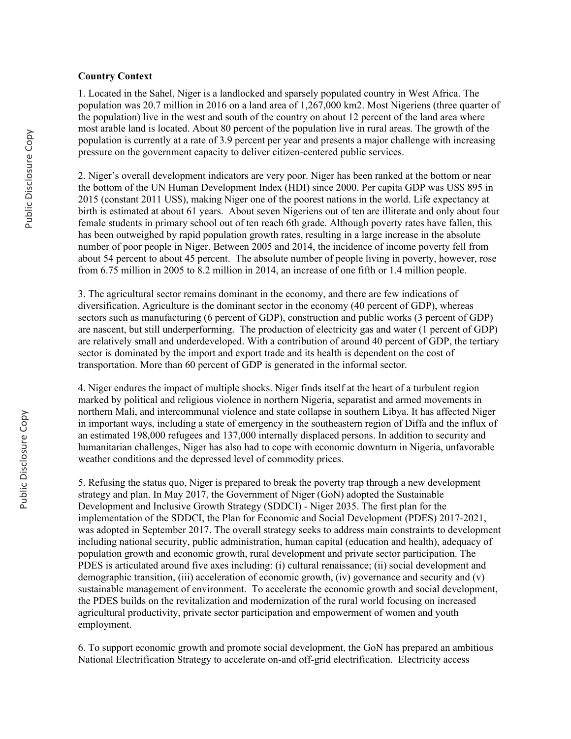#### **Country Context**

1. Located in the Sahel, Niger is a landlocked and sparsely populated country in West Africa. The population was 20.7 million in 2016 on a land area of 1,267,000 km2. Most Nigeriens (three quarter of the population) live in the west and south of the country on about 12 percent of the land area where most arable land is located. About 80 percent of the population live in rural areas. The growth of the population is currently at a rate of 3.9 percent per year and presents a major challenge with increasing pressure on the government capacity to deliver citizen-centered public services.

2. Niger's overall development indicators are very poor. Niger has been ranked at the bottom or near the bottom of the UN Human Development Index (HDI) since 2000. Per capita GDP was US\$ 895 in 2015 (constant 2011 US\$), making Niger one of the poorest nations in the world. Life expectancy at birth is estimated at about 61 years. About seven Nigeriens out of ten are illiterate and only about four female students in primary school out of ten reach 6th grade. Although poverty rates have fallen, this has been outweighed by rapid population growth rates, resulting in a large increase in the absolute number of poor people in Niger. Between 2005 and 2014, the incidence of income poverty fell from about 54 percent to about 45 percent. The absolute number of people living in poverty, however, rose from 6.75 million in 2005 to 8.2 million in 2014, an increase of one fifth or 1.4 million people.

3. The agricultural sector remains dominant in the economy, and there are few indications of diversification. Agriculture is the dominant sector in the economy (40 percent of GDP), whereas sectors such as manufacturing (6 percent of GDP), construction and public works (3 percent of GDP) are nascent, but still underperforming. The production of electricity gas and water (1 percent of GDP) are relatively small and underdeveloped. With a contribution of around 40 percent of GDP, the tertiary sector is dominated by the import and export trade and its health is dependent on the cost of transportation. More than 60 percent of GDP is generated in the informal sector.

4. Niger endures the impact of multiple shocks. Niger finds itself at the heart of a turbulent region marked by political and religious violence in northern Nigeria, separatist and armed movements in northern Mali, and intercommunal violence and state collapse in southern Libya. It has affected Niger in important ways, including a state of emergency in the southeastern region of Diffa and the influx of an estimated 198,000 refugees and 137,000 internally displaced persons. In addition to security and humanitarian challenges, Niger has also had to cope with economic downturn in Nigeria, unfavorable weather conditions and the depressed level of commodity prices.

5. Refusing the status quo, Niger is prepared to break the poverty trap through a new development strategy and plan. In May 2017, the Government of Niger (GoN) adopted the Sustainable Development and Inclusive Growth Strategy (SDDCI) - Niger 2035. The first plan for the implementation of the SDDCI, the Plan for Economic and Social Development (PDES) 2017-2021, was adopted in September 2017. The overall strategy seeks to address main constraints to development including national security, public administration, human capital (education and health), adequacy of population growth and economic growth, rural development and private sector participation. The PDES is articulated around five axes including: (i) cultural renaissance; (ii) social development and demographic transition, (iii) acceleration of economic growth, (iv) governance and security and (v) sustainable management of environment. To accelerate the economic growth and social development, the PDES builds on the revitalization and modernization of the rural world focusing on increased agricultural productivity, private sector participation and empowerment of women and youth employment.

6. To support economic growth and promote social development, the GoN has prepared an ambitious National Electrification Strategy to accelerate on-and off-grid electrification. Electricity access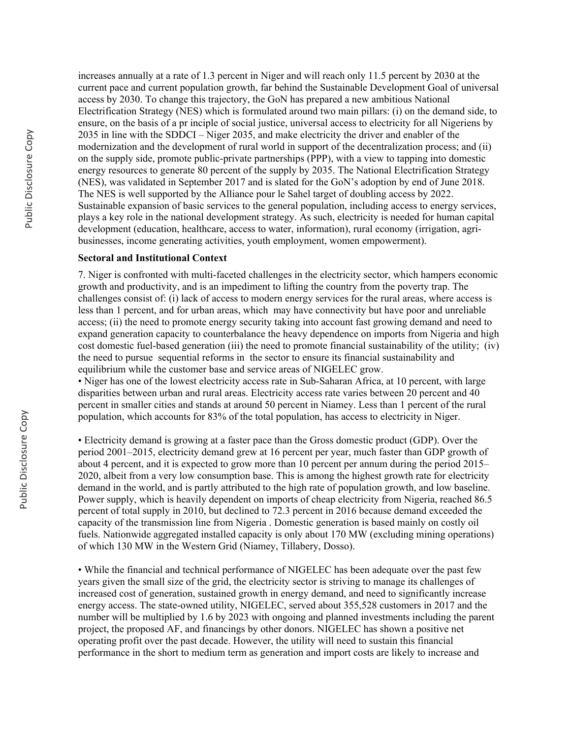increases annually at a rate of 1.3 percent in Niger and will reach only 11.5 percent by 2030 at the current pace and current population growth, far behind the Sustainable Development Goal of universal access by 2030. To change this trajectory, the GoN has prepared a new ambitious National Electrification Strategy (NES) which is formulated around two main pillars: (i) on the demand side, to ensure, on the basis of a pr inciple of social justice, universal access to electricity for all Nigeriens by 2035 in line with the SDDCI – Niger 2035, and make electricity the driver and enabler of the modernization and the development of rural world in support of the decentralization process; and (ii) on the supply side, promote public-private partnerships (PPP), with a view to tapping into domestic energy resources to generate 80 percent of the supply by 2035. The National Electrification Strategy (NES), was validated in September 2017 and is slated for the GoN's adoption by end of June 2018. The NES is well supported by the Alliance pour le Sahel target of doubling access by 2022. Sustainable expansion of basic services to the general population, including access to energy services, plays a key role in the national development strategy. As such, electricity is needed for human capital development (education, healthcare, access to water, information), rural economy (irrigation, agribusinesses, income generating activities, youth employment, women empowerment).

#### **Sectoral and Institutional Context**

7. Niger is confronted with multi-faceted challenges in the electricity sector, which hampers economic growth and productivity, and is an impediment to lifting the country from the poverty trap. The challenges consist of: (i) lack of access to modern energy services for the rural areas, where access is less than 1 percent, and for urban areas, which may have connectivity but have poor and unreliable access; (ii) the need to promote energy security taking into account fast growing demand and need to expand generation capacity to counterbalance the heavy dependence on imports from Nigeria and high cost domestic fuel-based generation (iii) the need to promote financial sustainability of the utility; (iv) the need to pursue sequential reforms in the sector to ensure its financial sustainability and equilibrium while the customer base and service areas of NIGELEC grow.

• Niger has one of the lowest electricity access rate in Sub-Saharan Africa, at 10 percent, with large disparities between urban and rural areas. Electricity access rate varies between 20 percent and 40 percent in smaller cities and stands at around 50 percent in Niamey. Less than 1 percent of the rural population, which accounts for 83% of the total population, has access to electricity in Niger.

• Electricity demand is growing at a faster pace than the Gross domestic product (GDP). Over the period 2001–2015, electricity demand grew at 16 percent per year, much faster than GDP growth of about 4 percent, and it is expected to grow more than 10 percent per annum during the period 2015– 2020, albeit from a very low consumption base. This is among the highest growth rate for electricity demand in the world, and is partly attributed to the high rate of population growth, and low baseline. Power supply, which is heavily dependent on imports of cheap electricity from Nigeria, reached 86.5 percent of total supply in 2010, but declined to 72.3 percent in 2016 because demand exceeded the capacity of the transmission line from Nigeria . Domestic generation is based mainly on costly oil fuels. Nationwide aggregated installed capacity is only about 170 MW (excluding mining operations) of which 130 MW in the Western Grid (Niamey, Tillabery, Dosso).

• While the financial and technical performance of NIGELEC has been adequate over the past few years given the small size of the grid, the electricity sector is striving to manage its challenges of increased cost of generation, sustained growth in energy demand, and need to significantly increase energy access. The state-owned utility, NIGELEC, served about 355,528 customers in 2017 and the number will be multiplied by 1.6 by 2023 with ongoing and planned investments including the parent project, the proposed AF, and financings by other donors. NIGELEC has shown a positive net operating profit over the past decade. However, the utility will need to sustain this financial performance in the short to medium term as generation and import costs are likely to increase and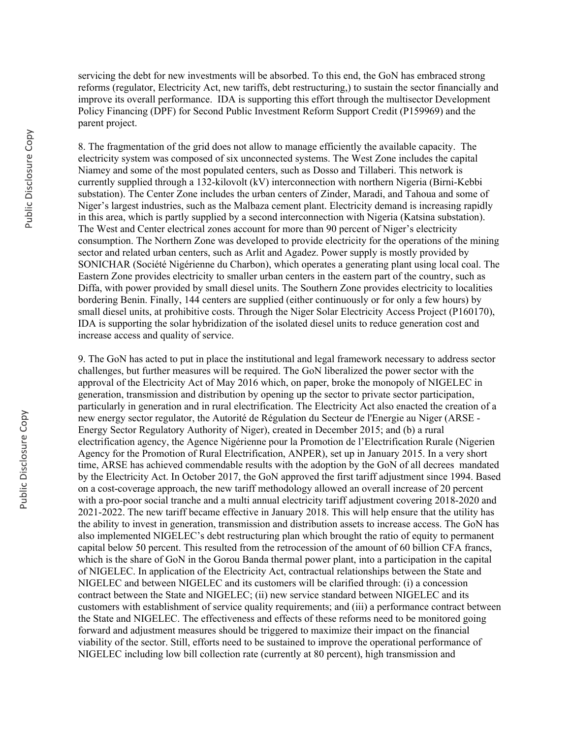servicing the debt for new investments will be absorbed. To this end, the GoN has embraced strong reforms (regulator, Electricity Act, new tariffs, debt restructuring,) to sustain the sector financially and improve its overall performance. IDA is supporting this effort through the multisector Development Policy Financing (DPF) for Second Public Investment Reform Support Credit (P159969) and the parent project.

8. The fragmentation of the grid does not allow to manage efficiently the available capacity. The electricity system was composed of six unconnected systems. The West Zone includes the capital Niamey and some of the most populated centers, such as Dosso and Tillaberi. This network is currently supplied through a 132-kilovolt (kV) interconnection with northern Nigeria (Birni-Kebbi substation). The Center Zone includes the urban centers of Zinder, Maradi, and Tahoua and some of Niger's largest industries, such as the Malbaza cement plant. Electricity demand is increasing rapidly in this area, which is partly supplied by a second interconnection with Nigeria (Katsina substation). The West and Center electrical zones account for more than 90 percent of Niger's electricity consumption. The Northern Zone was developed to provide electricity for the operations of the mining sector and related urban centers, such as Arlit and Agadez. Power supply is mostly provided by SONICHAR (Société Nigérienne du Charbon), which operates a generating plant using local coal. The Eastern Zone provides electricity to smaller urban centers in the eastern part of the country, such as Diffa, with power provided by small diesel units. The Southern Zone provides electricity to localities bordering Benin. Finally, 144 centers are supplied (either continuously or for only a few hours) by small diesel units, at prohibitive costs. Through the Niger Solar Electricity Access Project (P160170), IDA is supporting the solar hybridization of the isolated diesel units to reduce generation cost and increase access and quality of service.

9. The GoN has acted to put in place the institutional and legal framework necessary to address sector challenges, but further measures will be required. The GoN liberalized the power sector with the approval of the Electricity Act of May 2016 which, on paper, broke the monopoly of NIGELEC in generation, transmission and distribution by opening up the sector to private sector participation, particularly in generation and in rural electrification. The Electricity Act also enacted the creation of a new energy sector regulator, the Autorité de Régulation du Secteur de l'Energie au Niger (ARSE - Energy Sector Regulatory Authority of Niger), created in December 2015; and (b) a rural electrification agency, the Agence Nigérienne pour la Promotion de l'Electrification Rurale (Nigerien Agency for the Promotion of Rural Electrification, ANPER), set up in January 2015. In a very short time, ARSE has achieved commendable results with the adoption by the GoN of all decrees mandated by the Electricity Act. In October 2017, the GoN approved the first tariff adjustment since 1994. Based on a cost-coverage approach, the new tariff methodology allowed an overall increase of 20 percent with a pro-poor social tranche and a multi annual electricity tariff adjustment covering 2018-2020 and 2021-2022. The new tariff became effective in January 2018. This will help ensure that the utility has the ability to invest in generation, transmission and distribution assets to increase access. The GoN has also implemented NIGELEC's debt restructuring plan which brought the ratio of equity to permanent capital below 50 percent. This resulted from the retrocession of the amount of 60 billion CFA francs, which is the share of GoN in the Gorou Banda thermal power plant, into a participation in the capital of NIGELEC. In application of the Electricity Act, contractual relationships between the State and NIGELEC and between NIGELEC and its customers will be clarified through: (i) a concession contract between the State and NIGELEC; (ii) new service standard between NIGELEC and its customers with establishment of service quality requirements; and (iii) a performance contract between the State and NIGELEC. The effectiveness and effects of these reforms need to be monitored going forward and adjustment measures should be triggered to maximize their impact on the financial viability of the sector. Still, efforts need to be sustained to improve the operational performance of NIGELEC including low bill collection rate (currently at 80 percent), high transmission and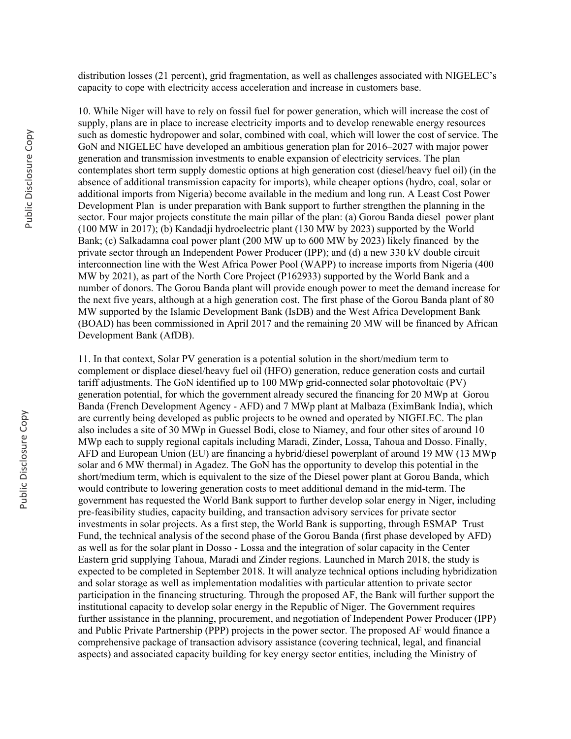distribution losses (21 percent), grid fragmentation, as well as challenges associated with NIGELEC's capacity to cope with electricity access acceleration and increase in customers base.

10. While Niger will have to rely on fossil fuel for power generation, which will increase the cost of supply, plans are in place to increase electricity imports and to develop renewable energy resources such as domestic hydropower and solar, combined with coal, which will lower the cost of service. The GoN and NIGELEC have developed an ambitious generation plan for 2016–2027 with major power generation and transmission investments to enable expansion of electricity services. The plan contemplates short term supply domestic options at high generation cost (diesel/heavy fuel oil) (in the absence of additional transmission capacity for imports), while cheaper options (hydro, coal, solar or additional imports from Nigeria) become available in the medium and long run. A Least Cost Power Development Plan is under preparation with Bank support to further strengthen the planning in the sector. Four major projects constitute the main pillar of the plan: (a) Gorou Banda diesel power plant (100 MW in 2017); (b) Kandadji hydroelectric plant (130 MW by 2023) supported by the World Bank; (c) Salkadamna coal power plant (200 MW up to 600 MW by 2023) likely financed by the private sector through an Independent Power Producer (IPP); and (d) a new 330 kV double circuit interconnection line with the West Africa Power Pool (WAPP) to increase imports from Nigeria (400 MW by 2021), as part of the North Core Project (P162933) supported by the World Bank and a number of donors. The Gorou Banda plant will provide enough power to meet the demand increase for the next five years, although at a high generation cost. The first phase of the Gorou Banda plant of 80 MW supported by the Islamic Development Bank (IsDB) and the West Africa Development Bank (BOAD) has been commissioned in April 2017 and the remaining 20 MW will be financed by African Development Bank (AfDB).

11. In that context, Solar PV generation is a potential solution in the short/medium term to complement or displace diesel/heavy fuel oil (HFO) generation, reduce generation costs and curtail tariff adjustments. The GoN identified up to 100 MWp grid-connected solar photovoltaic (PV) generation potential, for which the government already secured the financing for 20 MWp at Gorou Banda (French Development Agency - AFD) and 7 MWp plant at Malbaza (EximBank India), which are currently being developed as public projects to be owned and operated by NIGELEC. The plan also includes a site of 30 MWp in Guessel Bodi, close to Niamey, and four other sites of around 10 MWp each to supply regional capitals including Maradi, Zinder, Lossa, Tahoua and Dosso. Finally, AFD and European Union (EU) are financing a hybrid/diesel powerplant of around 19 MW (13 MWp solar and 6 MW thermal) in Agadez. The GoN has the opportunity to develop this potential in the short/medium term, which is equivalent to the size of the Diesel power plant at Gorou Banda, which would contribute to lowering generation costs to meet additional demand in the mid-term. The government has requested the World Bank support to further develop solar energy in Niger, including pre-feasibility studies, capacity building, and transaction advisory services for private sector investments in solar projects. As a first step, the World Bank is supporting, through ESMAP Trust Fund, the technical analysis of the second phase of the Gorou Banda (first phase developed by AFD) as well as for the solar plant in Dosso - Lossa and the integration of solar capacity in the Center Eastern grid supplying Tahoua, Maradi and Zinder regions. Launched in March 2018, the study is expected to be completed in September 2018. It will analyze technical options including hybridization and solar storage as well as implementation modalities with particular attention to private sector participation in the financing structuring. Through the proposed AF, the Bank will further support the institutional capacity to develop solar energy in the Republic of Niger. The Government requires further assistance in the planning, procurement, and negotiation of Independent Power Producer (IPP) and Public Private Partnership (PPP) projects in the power sector. The proposed AF would finance a comprehensive package of transaction advisory assistance (covering technical, legal, and financial aspects) and associated capacity building for key energy sector entities, including the Ministry of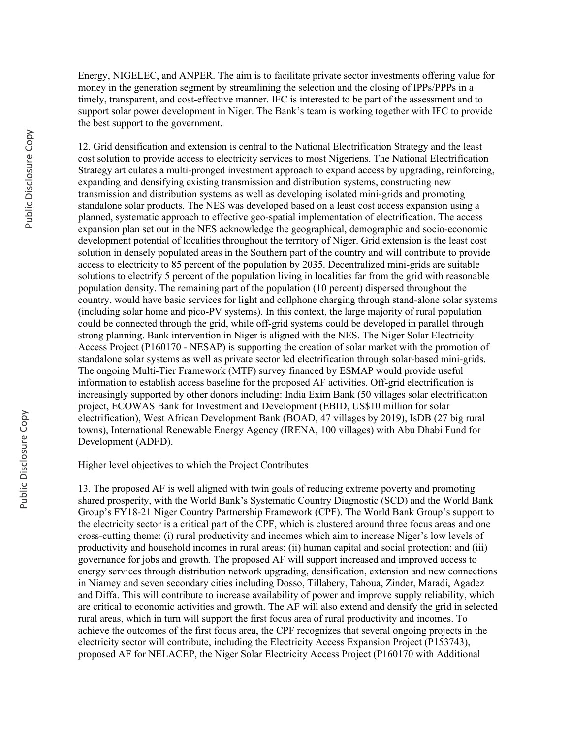Energy, NIGELEC, and ANPER. The aim is to facilitate private sector investments offering value for money in the generation segment by streamlining the selection and the closing of IPPs/PPPs in a timely, transparent, and cost-effective manner. IFC is interested to be part of the assessment and to support solar power development in Niger. The Bank's team is working together with IFC to provide the best support to the government.

12. Grid densification and extension is central to the National Electrification Strategy and the least cost solution to provide access to electricity services to most Nigeriens. The National Electrification Strategy articulates a multi-pronged investment approach to expand access by upgrading, reinforcing, expanding and densifying existing transmission and distribution systems, constructing new transmission and distribution systems as well as developing isolated mini-grids and promoting standalone solar products. The NES was developed based on a least cost access expansion using a planned, systematic approach to effective geo-spatial implementation of electrification. The access expansion plan set out in the NES acknowledge the geographical, demographic and socio-economic development potential of localities throughout the territory of Niger. Grid extension is the least cost solution in densely populated areas in the Southern part of the country and will contribute to provide access to electricity to 85 percent of the population by 2035. Decentralized mini-grids are suitable solutions to electrify 5 percent of the population living in localities far from the grid with reasonable population density. The remaining part of the population (10 percent) dispersed throughout the country, would have basic services for light and cellphone charging through stand-alone solar systems (including solar home and pico-PV systems). In this context, the large majority of rural population could be connected through the grid, while off-grid systems could be developed in parallel through strong planning. Bank intervention in Niger is aligned with the NES. The Niger Solar Electricity Access Project (P160170 - NESAP) is supporting the creation of solar market with the promotion of standalone solar systems as well as private sector led electrification through solar-based mini-grids. The ongoing Multi-Tier Framework (MTF) survey financed by ESMAP would provide useful information to establish access baseline for the proposed AF activities. Off-grid electrification is increasingly supported by other donors including: India Exim Bank (50 villages solar electrification project, ECOWAS Bank for Investment and Development (EBID, US\$10 million for solar electrification), West African Development Bank (BOAD, 47 villages by 2019), IsDB (27 big rural towns), International Renewable Energy Agency (IRENA, 100 villages) with Abu Dhabi Fund for Development (ADFD).

Higher level objectives to which the Project Contributes

13. The proposed AF is well aligned with twin goals of reducing extreme poverty and promoting shared prosperity, with the World Bank's Systematic Country Diagnostic (SCD) and the World Bank Group's FY18-21 Niger Country Partnership Framework (CPF). The World Bank Group's support to the electricity sector is a critical part of the CPF, which is clustered around three focus areas and one cross-cutting theme: (i) rural productivity and incomes which aim to increase Niger's low levels of productivity and household incomes in rural areas; (ii) human capital and social protection; and (iii) governance for jobs and growth. The proposed AF will support increased and improved access to energy services through distribution network upgrading, densification, extension and new connections in Niamey and seven secondary cities including Dosso, Tillabery, Tahoua, Zinder, Maradi, Agadez and Diffa. This will contribute to increase availability of power and improve supply reliability, which are critical to economic activities and growth. The AF will also extend and densify the grid in selected rural areas, which in turn will support the first focus area of rural productivity and incomes. To achieve the outcomes of the first focus area, the CPF recognizes that several ongoing projects in the electricity sector will contribute, including the Electricity Access Expansion Project (P153743), proposed AF for NELACEP, the Niger Solar Electricity Access Project (P160170 with Additional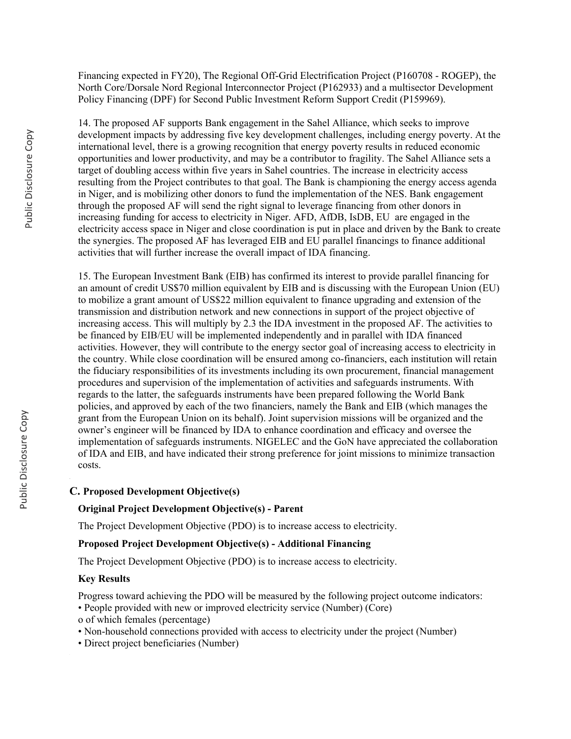Financing expected in FY20), The Regional Off-Grid Electrification Project (P160708 - ROGEP), the North Core/Dorsale Nord Regional Interconnector Project (P162933) and a multisector Development Policy Financing (DPF) for Second Public Investment Reform Support Credit (P159969).

14. The proposed AF supports Bank engagement in the Sahel Alliance, which seeks to improve development impacts by addressing five key development challenges, including energy poverty. At the international level, there is a growing recognition that energy poverty results in reduced economic opportunities and lower productivity, and may be a contributor to fragility. The Sahel Alliance sets a target of doubling access within five years in Sahel countries. The increase in electricity access resulting from the Project contributes to that goal. The Bank is championing the energy access agenda in Niger, and is mobilizing other donors to fund the implementation of the NES. Bank engagement through the proposed AF will send the right signal to leverage financing from other donors in increasing funding for access to electricity in Niger. AFD, AfDB, IsDB, EU are engaged in the electricity access space in Niger and close coordination is put in place and driven by the Bank to create the synergies. The proposed AF has leveraged EIB and EU parallel financings to finance additional activities that will further increase the overall impact of IDA financing.

15. The European Investment Bank (EIB) has confirmed its interest to provide parallel financing for an amount of credit US\$70 million equivalent by EIB and is discussing with the European Union (EU) to mobilize a grant amount of US\$22 million equivalent to finance upgrading and extension of the transmission and distribution network and new connections in support of the project objective of increasing access. This will multiply by 2.3 the IDA investment in the proposed AF. The activities to be financed by EIB/EU will be implemented independently and in parallel with IDA financed activities. However, they will contribute to the energy sector goal of increasing access to electricity in the country. While close coordination will be ensured among co-financiers, each institution will retain the fiduciary responsibilities of its investments including its own procurement, financial management procedures and supervision of the implementation of activities and safeguards instruments. With regards to the latter, the safeguards instruments have been prepared following the World Bank policies, and approved by each of the two financiers, namely the Bank and EIB (which manages the grant from the European Union on its behalf). Joint supervision missions will be organized and the owner's engineer will be financed by IDA to enhance coordination and efficacy and oversee the implementation of safeguards instruments. NIGELEC and the GoN have appreciated the collaboration of IDA and EIB, and have indicated their strong preference for joint missions to minimize transaction costs.

### **C. Proposed Development Objective(s)**

### **Original Project Development Objective(s) - Parent**

The Project Development Objective (PDO) is to increase access to electricity.

### **Proposed Project Development Objective(s) - Additional Financing**

The Project Development Objective (PDO) is to increase access to electricity.

#### **Key Results**

Progress toward achieving the PDO will be measured by the following project outcome indicators:

- People provided with new or improved electricity service (Number) (Core)
- o of which females (percentage)
- Non-household connections provided with access to electricity under the project (Number)
- Direct project beneficiaries (Number)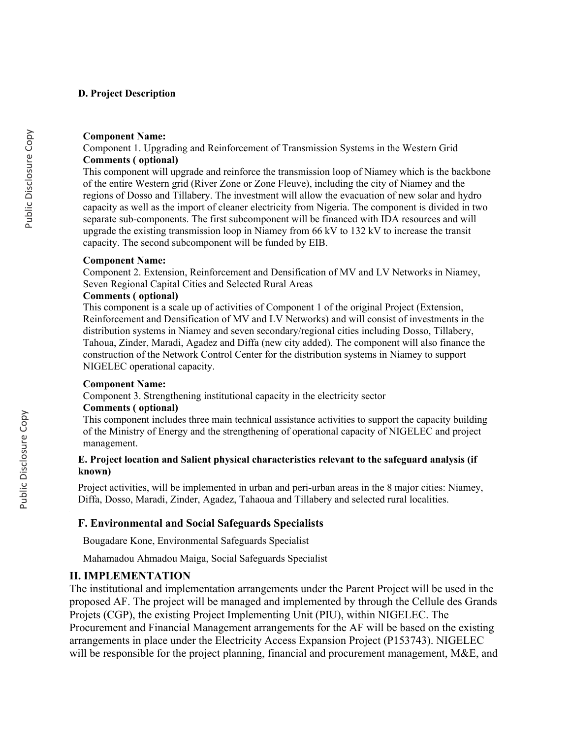### **D. Project Description**

#### **Component Name:**

Component 1. Upgrading and Reinforcement of Transmission Systems in the Western Grid **Comments ( optional)**

This component will upgrade and reinforce the transmission loop of Niamey which is the backbone of the entire Western grid (River Zone or Zone Fleuve), including the city of Niamey and the regions of Dosso and Tillabery. The investment will allow the evacuation of new solar and hydro capacity as well as the import of cleaner electricity from Nigeria. The component is divided in two separate sub-components. The first subcomponent will be financed with IDA resources and will upgrade the existing transmission loop in Niamey from 66 kV to 132 kV to increase the transit capacity. The second subcomponent will be funded by EIB.

### **Component Name:**

Component 2. Extension, Reinforcement and Densification of MV and LV Networks in Niamey, Seven Regional Capital Cities and Selected Rural Areas

### **Comments ( optional)**

This component is a scale up of activities of Component 1 of the original Project (Extension, Reinforcement and Densification of MV and LV Networks) and will consist of investments in the distribution systems in Niamey and seven secondary/regional cities including Dosso, Tillabery, Tahoua, Zinder, Maradi, Agadez and Diffa (new city added). The component will also finance the construction of the Network Control Center for the distribution systems in Niamey to support NIGELEC operational capacity.

#### **Component Name:**

Component 3. Strengthening institutional capacity in the electricity sector

### **Comments ( optional)**

This component includes three main technical assistance activities to support the capacity building of the Ministry of Energy and the strengthening of operational capacity of NIGELEC and project management.

## **E. Project location and Salient physical characteristics relevant to the safeguard analysis (if known)**

Project activities, will be implemented in urban and peri-urban areas in the 8 major cities: Niamey, Diffa, Dosso, Maradi, Zinder, Agadez, Tahaoua and Tillabery and selected rural localities.

## **F. Environmental and Social Safeguards Specialists**

Bougadare Kone, Environmental Safeguards Specialist

Mahamadou Ahmadou Maiga, Social Safeguards Specialist

## **II. IMPLEMENTATION**

The institutional and implementation arrangements under the Parent Project will be used in the proposed AF. The project will be managed and implemented by through the Cellule des Grands Projets (CGP), the existing Project Implementing Unit (PIU), within NIGELEC. The Procurement and Financial Management arrangements for the AF will be based on the existing arrangements in place under the Electricity Access Expansion Project (P153743). NIGELEC will be responsible for the project planning, financial and procurement management, M&E, and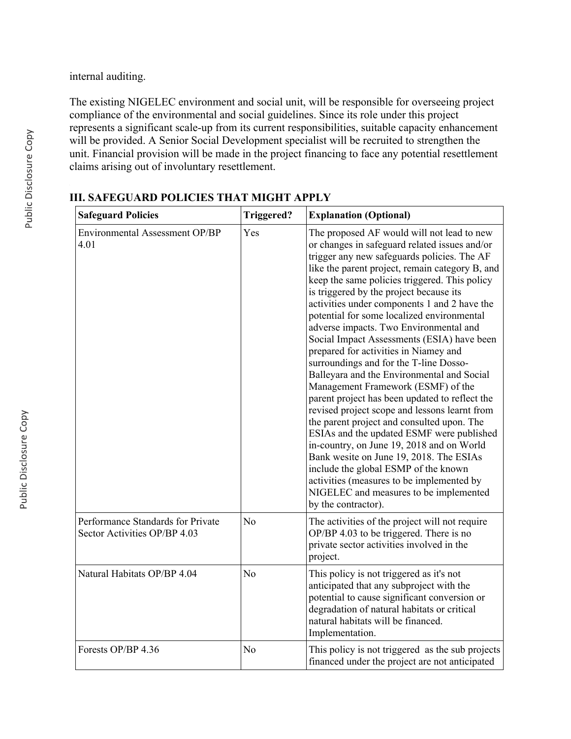internal auditing.

The existing NIGELEC environment and social unit, will be responsible for overseeing project compliance of the environmental and social guidelines. Since its role under this project represents a significant scale-up from its current responsibilities, suitable capacity enhancement will be provided. A Senior Social Development specialist will be recruited to strengthen the unit. Financial provision will be made in the project financing to face any potential resettlement claims arising out of involuntary resettlement.

| <b>Safeguard Policies</b>                                         | Triggered?     | <b>Explanation (Optional)</b>                                                                                                                                                                                                                                                                                                                                                                                                                                                                                                                                                                                                                                                                                                                                                                                                                                                                                                                                                                                                                                                                      |
|-------------------------------------------------------------------|----------------|----------------------------------------------------------------------------------------------------------------------------------------------------------------------------------------------------------------------------------------------------------------------------------------------------------------------------------------------------------------------------------------------------------------------------------------------------------------------------------------------------------------------------------------------------------------------------------------------------------------------------------------------------------------------------------------------------------------------------------------------------------------------------------------------------------------------------------------------------------------------------------------------------------------------------------------------------------------------------------------------------------------------------------------------------------------------------------------------------|
| Environmental Assessment OP/BP<br>4.01                            | Yes            | The proposed AF would will not lead to new<br>or changes in safeguard related issues and/or<br>trigger any new safeguards policies. The AF<br>like the parent project, remain category B, and<br>keep the same policies triggered. This policy<br>is triggered by the project because its<br>activities under components 1 and 2 have the<br>potential for some localized environmental<br>adverse impacts. Two Environmental and<br>Social Impact Assessments (ESIA) have been<br>prepared for activities in Niamey and<br>surroundings and for the T-line Dosso-<br>Balleyara and the Environmental and Social<br>Management Framework (ESMF) of the<br>parent project has been updated to reflect the<br>revised project scope and lessons learnt from<br>the parent project and consulted upon. The<br>ESIAs and the updated ESMF were published<br>in-country, on June 19, 2018 and on World<br>Bank wesite on June 19, 2018. The ESIAs<br>include the global ESMP of the known<br>activities (measures to be implemented by<br>NIGELEC and measures to be implemented<br>by the contractor). |
| Performance Standards for Private<br>Sector Activities OP/BP 4.03 | N <sub>o</sub> | The activities of the project will not require<br>OP/BP 4.03 to be triggered. There is no<br>private sector activities involved in the<br>project.                                                                                                                                                                                                                                                                                                                                                                                                                                                                                                                                                                                                                                                                                                                                                                                                                                                                                                                                                 |
| Natural Habitats OP/BP 4.04                                       | N <sub>o</sub> | This policy is not triggered as it's not<br>anticipated that any subproject with the<br>potential to cause significant conversion or<br>degradation of natural habitats or critical<br>natural habitats will be financed.<br>Implementation.                                                                                                                                                                                                                                                                                                                                                                                                                                                                                                                                                                                                                                                                                                                                                                                                                                                       |
| Forests OP/BP 4.36                                                | N <sub>o</sub> | This policy is not triggered as the sub projects<br>financed under the project are not anticipated                                                                                                                                                                                                                                                                                                                                                                                                                                                                                                                                                                                                                                                                                                                                                                                                                                                                                                                                                                                                 |

# **III. SAFEGUARD POLICIES THAT MIGHT APPLY**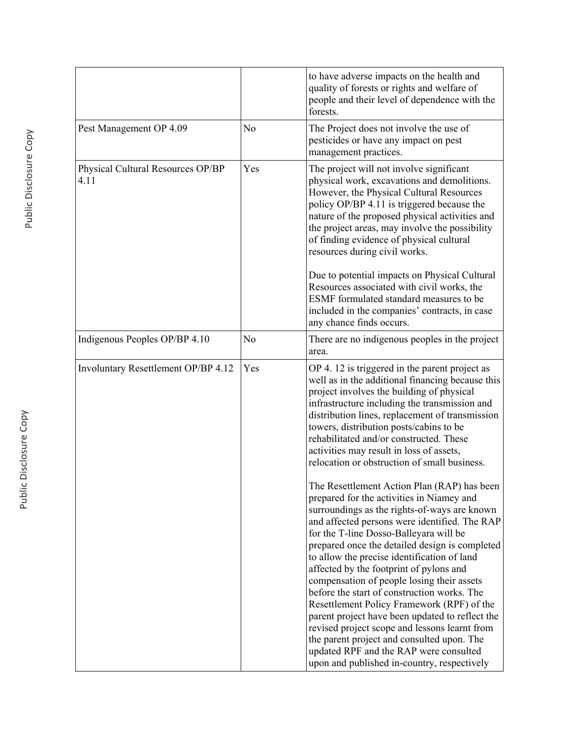|                                           |                | to have adverse impacts on the health and<br>quality of forests or rights and welfare of<br>people and their level of dependence with the<br>forests.                                                                                                                                                                                                                                                                                                                                                                                                                                                                                                                                                                                                                 |
|-------------------------------------------|----------------|-----------------------------------------------------------------------------------------------------------------------------------------------------------------------------------------------------------------------------------------------------------------------------------------------------------------------------------------------------------------------------------------------------------------------------------------------------------------------------------------------------------------------------------------------------------------------------------------------------------------------------------------------------------------------------------------------------------------------------------------------------------------------|
| Pest Management OP 4.09                   | N <sub>o</sub> | The Project does not involve the use of<br>pesticides or have any impact on pest<br>management practices.                                                                                                                                                                                                                                                                                                                                                                                                                                                                                                                                                                                                                                                             |
| Physical Cultural Resources OP/BP<br>4.11 | Yes            | The project will not involve significant<br>physical work, excavations and demolitions.<br>However, the Physical Cultural Resources<br>policy OP/BP 4.11 is triggered because the<br>nature of the proposed physical activities and<br>the project areas, may involve the possibility<br>of finding evidence of physical cultural<br>resources during civil works.                                                                                                                                                                                                                                                                                                                                                                                                    |
|                                           |                | Due to potential impacts on Physical Cultural<br>Resources associated with civil works, the<br>ESMF formulated standard measures to be<br>included in the companies' contracts, in case<br>any chance finds occurs.                                                                                                                                                                                                                                                                                                                                                                                                                                                                                                                                                   |
| Indigenous Peoples OP/BP 4.10             | No             | There are no indigenous peoples in the project<br>area.                                                                                                                                                                                                                                                                                                                                                                                                                                                                                                                                                                                                                                                                                                               |
| Involuntary Resettlement OP/BP 4.12       | Yes            | OP 4.12 is triggered in the parent project as<br>well as in the additional financing because this<br>project involves the building of physical<br>infrastructure including the transmission and<br>distribution lines, replacement of transmission<br>towers, distribution posts/cabins to be<br>rehabilitated and/or constructed. These<br>activities may result in loss of assets,<br>relocation or obstruction of small business.                                                                                                                                                                                                                                                                                                                                  |
|                                           |                | The Resettlement Action Plan (RAP) has been<br>prepared for the activities in Niamey and<br>surroundings as the rights-of-ways are known<br>and affected persons were identified. The RAP<br>for the T-line Dosso-Balleyara will be<br>prepared once the detailed design is completed<br>to allow the precise identification of land<br>affected by the footprint of pylons and<br>compensation of people losing their assets<br>before the start of construction works. The<br>Resettlement Policy Framework (RPF) of the<br>parent project have been updated to reflect the<br>revised project scope and lessons learnt from<br>the parent project and consulted upon. The<br>updated RPF and the RAP were consulted<br>upon and published in-country, respectively |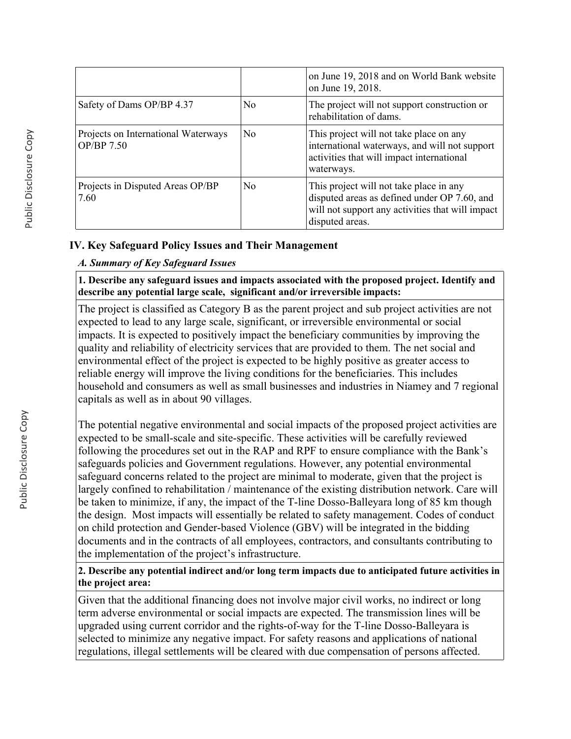|                                                   |                | on June 19, 2018 and on World Bank website<br>on June 19, 2018.                                                                                                |
|---------------------------------------------------|----------------|----------------------------------------------------------------------------------------------------------------------------------------------------------------|
| Safety of Dams OP/BP 4.37                         | N <sub>0</sub> | The project will not support construction or<br>rehabilitation of dams.                                                                                        |
| Projects on International Waterways<br>OP/BP 7.50 | No             | This project will not take place on any<br>international waterways, and will not support<br>activities that will impact international<br>waterways.            |
| Projects in Disputed Areas OP/BP<br>7.60          | N <sub>0</sub> | This project will not take place in any<br>disputed areas as defined under OP 7.60, and<br>will not support any activities that will impact<br>disputed areas. |

## **IV. Key Safeguard Policy Issues and Their Management**

## *A. Summary of Key Safeguard Issues*

**1. Describe any safeguard issues and impacts associated with the proposed project. Identify and describe any potential large scale, significant and/or irreversible impacts:**

The project is classified as Category B as the parent project and sub project activities are not expected to lead to any large scale, significant, or irreversible environmental or social impacts. It is expected to positively impact the beneficiary communities by improving the quality and reliability of electricity services that are provided to them. The net social and environmental effect of the project is expected to be highly positive as greater access to reliable energy will improve the living conditions for the beneficiaries. This includes household and consumers as well as small businesses and industries in Niamey and 7 regional capitals as well as in about 90 villages.

The potential negative environmental and social impacts of the proposed project activities are expected to be small-scale and site-specific. These activities will be carefully reviewed following the procedures set out in the RAP and RPF to ensure compliance with the Bank's safeguards policies and Government regulations. However, any potential environmental safeguard concerns related to the project are minimal to moderate, given that the project is largely confined to rehabilitation / maintenance of the existing distribution network. Care will be taken to minimize, if any, the impact of the T-line Dosso-Balleyara long of 85 km though the design. Most impacts will essentially be related to safety management. Codes of conduct on child protection and Gender-based Violence (GBV) will be integrated in the bidding documents and in the contracts of all employees, contractors, and consultants contributing to the implementation of the project's infrastructure.

**2. Describe any potential indirect and/or long term impacts due to anticipated future activities in the project area:**

Given that the additional financing does not involve major civil works, no indirect or long term adverse environmental or social impacts are expected. The transmission lines will be upgraded using current corridor and the rights-of-way for the T-line Dosso-Balleyara is selected to minimize any negative impact. For safety reasons and applications of national regulations, illegal settlements will be cleared with due compensation of persons affected.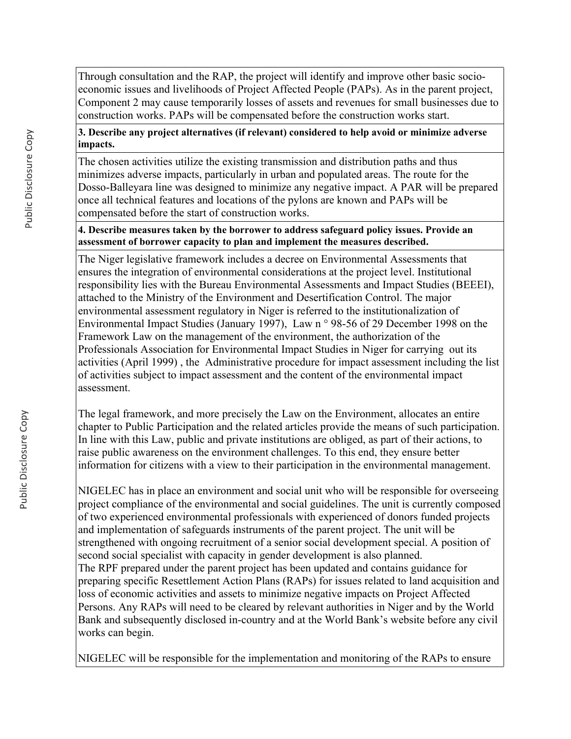Through consultation and the RAP, the project will identify and improve other basic socioeconomic issues and livelihoods of Project Affected People (PAPs). As in the parent project, Component 2 may cause temporarily losses of assets and revenues for small businesses due to construction works. PAPs will be compensated before the construction works start.

## **3. Describe any project alternatives (if relevant) considered to help avoid or minimize adverse impacts.**

The chosen activities utilize the existing transmission and distribution paths and thus minimizes adverse impacts, particularly in urban and populated areas. The route for the Dosso-Balleyara line was designed to minimize any negative impact. A PAR will be prepared once all technical features and locations of the pylons are known and PAPs will be compensated before the start of construction works.

## **4. Describe measures taken by the borrower to address safeguard policy issues. Provide an assessment of borrower capacity to plan and implement the measures described.**

The Niger legislative framework includes a decree on Environmental Assessments that ensures the integration of environmental considerations at the project level. Institutional responsibility lies with the Bureau Environmental Assessments and Impact Studies (BEEEI), attached to the Ministry of the Environment and Desertification Control. The major environmental assessment regulatory in Niger is referred to the institutionalization of Environmental Impact Studies (January 1997), Law n ° 98-56 of 29 December 1998 on the Framework Law on the management of the environment, the authorization of the Professionals Association for Environmental Impact Studies in Niger for carrying out its activities (April 1999) , the Administrative procedure for impact assessment including the list of activities subject to impact assessment and the content of the environmental impact assessment.

The legal framework, and more precisely the Law on the Environment, allocates an entire chapter to Public Participation and the related articles provide the means of such participation. In line with this Law, public and private institutions are obliged, as part of their actions, to raise public awareness on the environment challenges. To this end, they ensure better information for citizens with a view to their participation in the environmental management.

NIGELEC has in place an environment and social unit who will be responsible for overseeing project compliance of the environmental and social guidelines. The unit is currently composed of two experienced environmental professionals with experienced of donors funded projects and implementation of safeguards instruments of the parent project. The unit will be strengthened with ongoing recruitment of a senior social development special. A position of second social specialist with capacity in gender development is also planned. The RPF prepared under the parent project has been updated and contains guidance for preparing specific Resettlement Action Plans (RAPs) for issues related to land acquisition and loss of economic activities and assets to minimize negative impacts on Project Affected Persons. Any RAPs will need to be cleared by relevant authorities in Niger and by the World Bank and subsequently disclosed in-country and at the World Bank's website before any civil works can begin.

NIGELEC will be responsible for the implementation and monitoring of the RAPs to ensure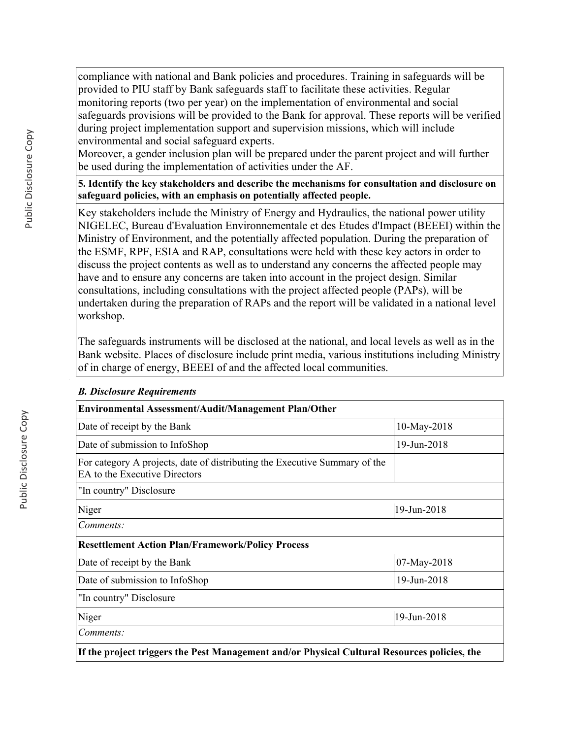compliance with national and Bank policies and procedures. Training in safeguards will be provided to PIU staff by Bank safeguards staff to facilitate these activities. Regular monitoring reports (two per year) on the implementation of environmental and social safeguards provisions will be provided to the Bank for approval. These reports will be verified during project implementation support and supervision missions, which will include environmental and social safeguard experts.

Moreover, a gender inclusion plan will be prepared under the parent project and will further be used during the implementation of activities under the AF.

**5. Identify the key stakeholders and describe the mechanisms for consultation and disclosure on safeguard policies, with an emphasis on potentially affected people.**

Key stakeholders include the Ministry of Energy and Hydraulics, the national power utility NIGELEC, Bureau d'Evaluation Environnementale et des Etudes d'Impact (BEEEI) within the Ministry of Environment, and the potentially affected population. During the preparation of the ESMF, RPF, ESIA and RAP, consultations were held with these key actors in order to discuss the project contents as well as to understand any concerns the affected people may have and to ensure any concerns are taken into account in the project design. Similar consultations, including consultations with the project affected people (PAPs), will be undertaken during the preparation of RAPs and the report will be validated in a national level workshop.

The safeguards instruments will be disclosed at the national, and local levels as well as in the Bank website. Places of disclosure include print media, various institutions including Ministry of in charge of energy, BEEEI of and the affected local communities.

| <b>Environmental Assessment/Audit/Management Plan/Other</b>                                                 |             |
|-------------------------------------------------------------------------------------------------------------|-------------|
| Date of receipt by the Bank                                                                                 | 10-May-2018 |
| Date of submission to InfoShop                                                                              | 19-Jun-2018 |
| For category A projects, date of distributing the Executive Summary of the<br>EA to the Executive Directors |             |
| "In country" Disclosure                                                                                     |             |
| Niger                                                                                                       | 19-Jun-2018 |
| Comments:                                                                                                   |             |
| <b>Resettlement Action Plan/Framework/Policy Process</b>                                                    |             |
| Date of receipt by the Bank                                                                                 | 07-May-2018 |
| Date of submission to InfoShop                                                                              | 19-Jun-2018 |
| "In country" Disclosure                                                                                     |             |
| Niger                                                                                                       | 19-Jun-2018 |
| Comments:                                                                                                   |             |
| If the project triggers the Pest Management and/or Physical Cultural Resources policies, the                |             |

## *B. Disclosure Requirements*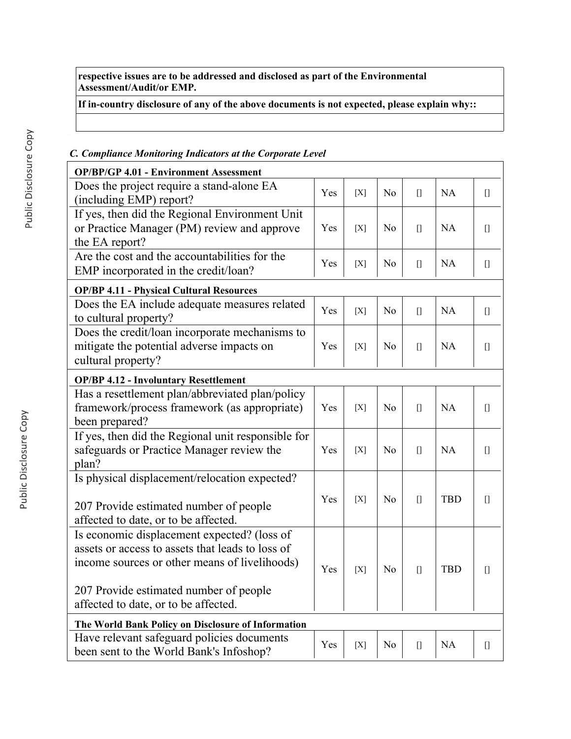**respective issues are to be addressed and disclosed as part of the Environmental Assessment/Audit/or EMP.**

**If in-country disclosure of any of the above documents is not expected, please explain why::**

# *C. Compliance Monitoring Indicators at the Corporate Level*

| <b>OP/BP/GP 4.01 - Environment Assessment</b>                                                                                                                                                                                      |     |     |                |                                                                                                                                                                                                                                                                                                                                                                      |            |                                                                                                                                                                                                                                                                                                                                                                      |
|------------------------------------------------------------------------------------------------------------------------------------------------------------------------------------------------------------------------------------|-----|-----|----------------|----------------------------------------------------------------------------------------------------------------------------------------------------------------------------------------------------------------------------------------------------------------------------------------------------------------------------------------------------------------------|------------|----------------------------------------------------------------------------------------------------------------------------------------------------------------------------------------------------------------------------------------------------------------------------------------------------------------------------------------------------------------------|
| Does the project require a stand-alone EA<br>(including EMP) report?                                                                                                                                                               | Yes | [X] | N <sub>o</sub> | $[$                                                                                                                                                                                                                                                                                                                                                                  | <b>NA</b>  | $[] \centering \includegraphics[width=0.47\textwidth]{images/TransY_1.png} \caption{The first two different values of $100$ K, $100$ K, $100$ K, $100$ K, $100$ K, $100$ K, $100$ K, $100$ K, $100$ K, $100$ K, $100$ K, $100$ K, $100$ K, $100$ K, $100$ K, $100$ K, $100$ K, $100$ K, $100$ K, $100$ K, $100$ K, $100$ K, $100$ K, $100$ K, $100$ K, $100$ K, $10$ |
| If yes, then did the Regional Environment Unit<br>or Practice Manager (PM) review and approve<br>the EA report?                                                                                                                    | Yes | [X] | N <sub>o</sub> | $[$                                                                                                                                                                                                                                                                                                                                                                  | <b>NA</b>  | $[]$                                                                                                                                                                                                                                                                                                                                                                 |
| Are the cost and the accountabilities for the<br>EMP incorporated in the credit/loan?                                                                                                                                              | Yes | [X] | N <sub>o</sub> | $[$                                                                                                                                                                                                                                                                                                                                                                  | <b>NA</b>  | $[$                                                                                                                                                                                                                                                                                                                                                                  |
| <b>OP/BP 4.11 - Physical Cultural Resources</b>                                                                                                                                                                                    |     |     |                |                                                                                                                                                                                                                                                                                                                                                                      |            |                                                                                                                                                                                                                                                                                                                                                                      |
| Does the EA include adequate measures related<br>to cultural property?                                                                                                                                                             | Yes | [X] | N <sub>o</sub> | $\prod$                                                                                                                                                                                                                                                                                                                                                              | <b>NA</b>  | $[] \centering \includegraphics[width=0.47\textwidth]{images/TransY_1.png} \caption{The first two different values of $100$ K, $100$ K, $100$ K, $100$ K, $100$ K, $100$ K, $100$ K, $100$ K, $100$ K, $100$ K, $100$ K, $100$ K, $100$ K, $100$ K, $100$ K, $100$ K, $100$ K, $100$ K, $100$ K, $100$ K, $100$ K, $100$ K, $100$ K, $100$ K, $100$ K, $100$ K, $10$ |
| Does the credit/loan incorporate mechanisms to<br>mitigate the potential adverse impacts on<br>cultural property?                                                                                                                  | Yes | [X] | N <sub>o</sub> | $[$                                                                                                                                                                                                                                                                                                                                                                  | <b>NA</b>  | $[]$                                                                                                                                                                                                                                                                                                                                                                 |
| <b>OP/BP 4.12 - Involuntary Resettlement</b>                                                                                                                                                                                       |     |     |                |                                                                                                                                                                                                                                                                                                                                                                      |            |                                                                                                                                                                                                                                                                                                                                                                      |
| Has a resettlement plan/abbreviated plan/policy<br>framework/process framework (as appropriate)<br>been prepared?                                                                                                                  | Yes | [X] | N <sub>o</sub> | $\prod$                                                                                                                                                                                                                                                                                                                                                              | <b>NA</b>  | $[]$                                                                                                                                                                                                                                                                                                                                                                 |
| If yes, then did the Regional unit responsible for<br>safeguards or Practice Manager review the<br>plan?                                                                                                                           | Yes | [X] | N <sub>o</sub> | $[$                                                                                                                                                                                                                                                                                                                                                                  | <b>NA</b>  |                                                                                                                                                                                                                                                                                                                                                                      |
| Is physical displacement/relocation expected?<br>207 Provide estimated number of people<br>affected to date, or to be affected.                                                                                                    | Yes | [X] | No             | $[$                                                                                                                                                                                                                                                                                                                                                                  | <b>TBD</b> | O                                                                                                                                                                                                                                                                                                                                                                    |
| Is economic displacement expected? (loss of<br>assets or access to assets that leads to loss of<br>income sources or other means of livelihoods)<br>207 Provide estimated number of people<br>affected to date, or to be affected. | Yes | [X] | No             | $[$                                                                                                                                                                                                                                                                                                                                                                  | <b>TBD</b> | $\Box$                                                                                                                                                                                                                                                                                                                                                               |
| The World Bank Policy on Disclosure of Information                                                                                                                                                                                 |     |     |                |                                                                                                                                                                                                                                                                                                                                                                      |            |                                                                                                                                                                                                                                                                                                                                                                      |
| Have relevant safeguard policies documents<br>been sent to the World Bank's Infoshop?                                                                                                                                              | Yes | [X] | N <sub>0</sub> | $[] \centering \includegraphics[width=0.47\textwidth]{images/TransY_1.png} \caption{The first two different values of $100$ K, $100$ K, $100$ K, $100$ K, $100$ K, $100$ K, $100$ K, $100$ K, $100$ K, $100$ K, $100$ K, $100$ K, $100$ K, $100$ K, $100$ K, $100$ K, $100$ K, $100$ K, $100$ K, $100$ K, $100$ K, $100$ K, $100$ K, $100$ K, $100$ K, $100$ K, $10$ | <b>NA</b>  |                                                                                                                                                                                                                                                                                                                                                                      |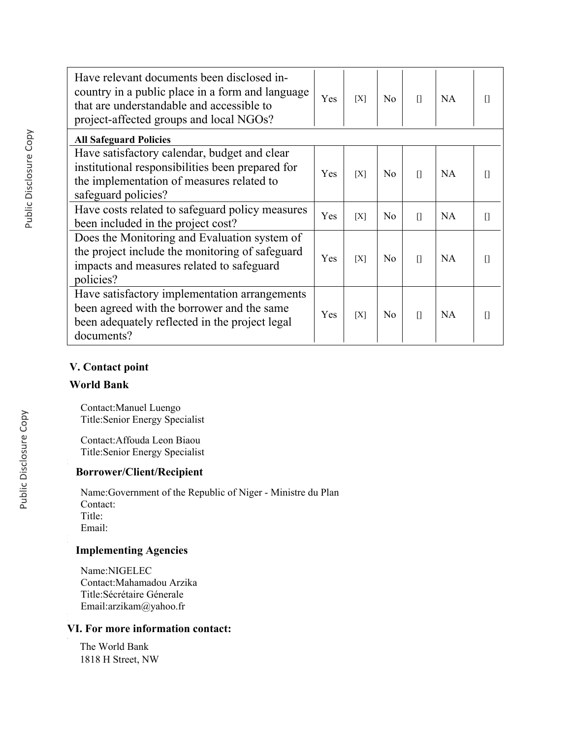| Have relevant documents been disclosed in-<br>country in a public place in a form and language<br>that are understandable and accessible to<br>project-affected groups and local NGOs? | Yes | [X] | N <sub>o</sub> | $\mathbf{u}$ | NA        |   |
|----------------------------------------------------------------------------------------------------------------------------------------------------------------------------------------|-----|-----|----------------|--------------|-----------|---|
| <b>All Safeguard Policies</b>                                                                                                                                                          |     |     |                |              |           |   |
| Have satisfactory calendar, budget and clear<br>institutional responsibilities been prepared for<br>the implementation of measures related to<br>safeguard policies?                   | Yes | [X] | N <sub>0</sub> | $\prod$      | NA        |   |
| Have costs related to safeguard policy measures<br>been included in the project cost?                                                                                                  | Yes | [X] | N <sub>0</sub> | $\mathbf{u}$ | <b>NA</b> | Π |
| Does the Monitoring and Evaluation system of<br>the project include the monitoring of safeguard<br>impacts and measures related to safeguard<br>policies?                              | Yes | [X] | No             | $\prod$      | NA        |   |
| Have satisfactory implementation arrangements<br>been agreed with the borrower and the same<br>been adequately reflected in the project legal<br>documents?                            | Yes | [X] | N <sub>0</sub> | $\prod$      | NA        |   |

## **V. Contact point**

## **World Bank**

Contact:Manuel Luengo Title:Senior Energy Specialist

Contact:Affouda Leon Biaou Title:Senior Energy Specialist

# **Borrower/Client/Recipient**

Name:Government of the Republic of Niger - Ministre du Plan Contact: Title: Email:

# **Implementing Agencies**

Name:NIGELEC Contact:Mahamadou Arzika Title:Sécrétaire Génerale Email:arzikam@yahoo.fr

## **VI. For more information contact:**

The World Bank 1818 H Street, NW